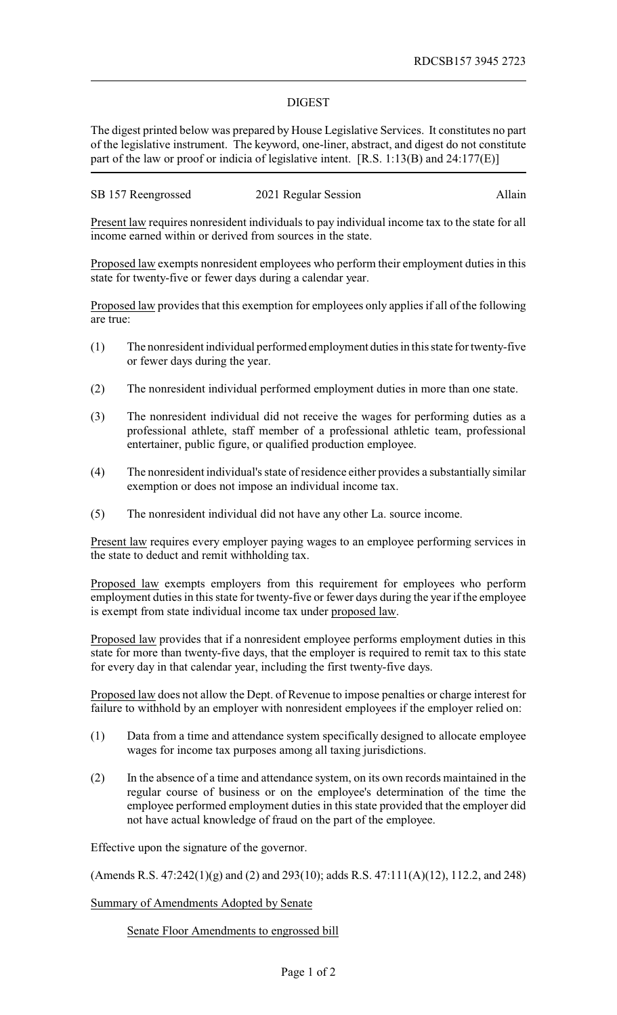## DIGEST

The digest printed below was prepared by House Legislative Services. It constitutes no part of the legislative instrument. The keyword, one-liner, abstract, and digest do not constitute part of the law or proof or indicia of legislative intent. [R.S. 1:13(B) and 24:177(E)]

SB 157 Reengrossed 2021 Regular Session Allain

Present law requires nonresident individuals to pay individual income tax to the state for all income earned within or derived from sources in the state.

Proposed law exempts nonresident employees who perform their employment duties in this state for twenty-five or fewer days during a calendar year.

Proposed law provides that this exemption for employees only applies if all of the following are true:

- (1) The nonresident individual performed employment duties in this state for twenty-five or fewer days during the year.
- (2) The nonresident individual performed employment duties in more than one state.
- (3) The nonresident individual did not receive the wages for performing duties as a professional athlete, staff member of a professional athletic team, professional entertainer, public figure, or qualified production employee.
- (4) The nonresident individual's state of residence either provides a substantially similar exemption or does not impose an individual income tax.
- (5) The nonresident individual did not have any other La. source income.

Present law requires every employer paying wages to an employee performing services in the state to deduct and remit withholding tax.

Proposed law exempts employers from this requirement for employees who perform employment duties in this state for twenty-five or fewer days during the year if the employee is exempt from state individual income tax under proposed law.

Proposed law provides that if a nonresident employee performs employment duties in this state for more than twenty-five days, that the employer is required to remit tax to this state for every day in that calendar year, including the first twenty-five days.

Proposed law does not allow the Dept. of Revenue to impose penalties or charge interest for failure to withhold by an employer with nonresident employees if the employer relied on:

- (1) Data from a time and attendance system specifically designed to allocate employee wages for income tax purposes among all taxing jurisdictions.
- (2) In the absence of a time and attendance system, on its own records maintained in the regular course of business or on the employee's determination of the time the employee performed employment duties in this state provided that the employer did not have actual knowledge of fraud on the part of the employee.

Effective upon the signature of the governor.

(Amends R.S. 47:242(1)(g) and (2) and 293(10); adds R.S. 47:111(A)(12), 112.2, and 248)

Summary of Amendments Adopted by Senate

Senate Floor Amendments to engrossed bill